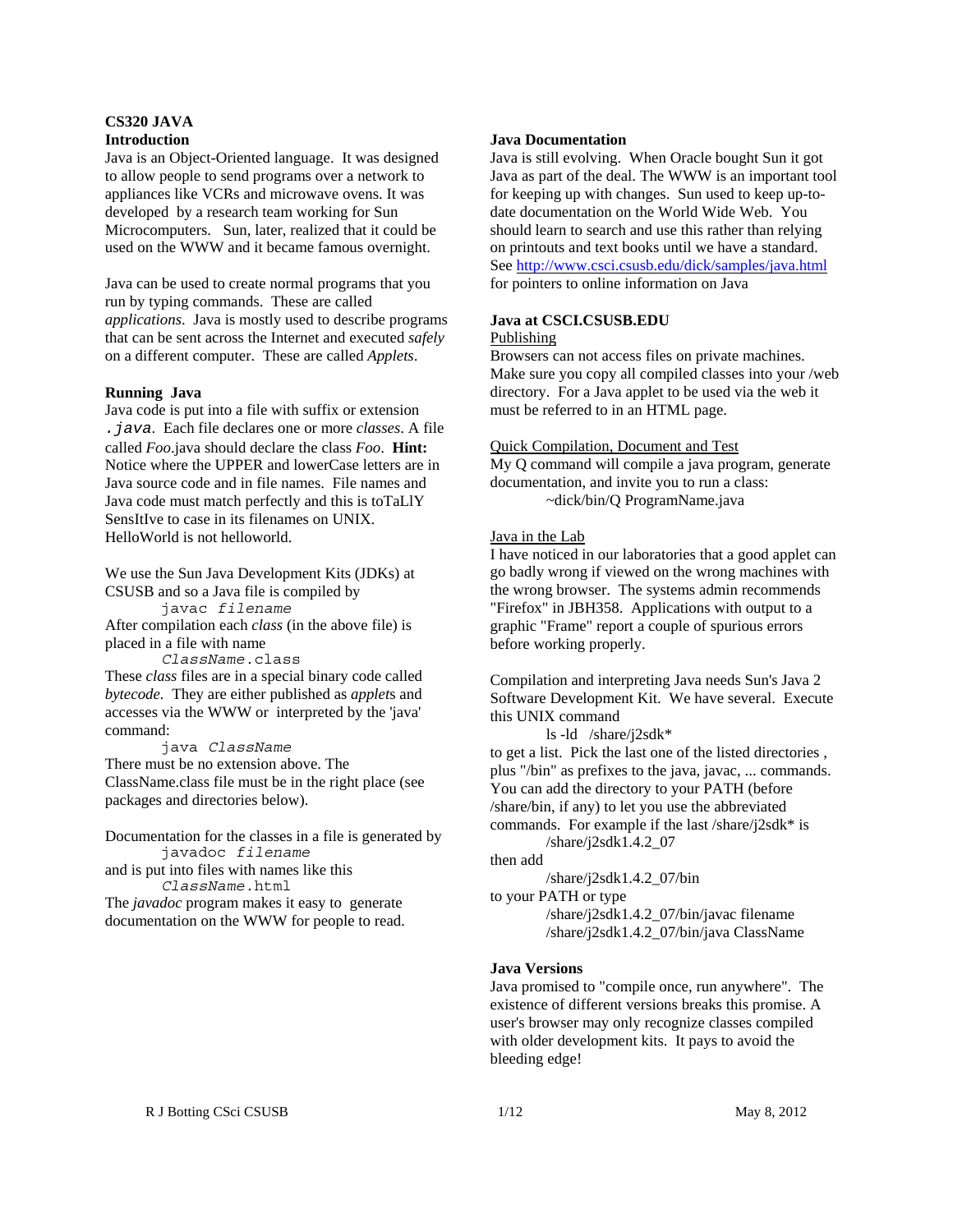### **CS320 JAVA Introduction**

Java is an Object-Oriented language. It was designed to allow people to send programs over a network to appliances like VCRs and microwave ovens. It was developed by a research team working for Sun Microcomputers. Sun, later, realized that it could be used on the WWW and it became famous overnight.

Java can be used to create normal programs that you run by typing commands. These are called *applications*. Java is mostly used to describe programs that can be sent across the Internet and executed *safely* on a different computer. These are called *Applets*.

### **Running Java**

Java code is put into a file with suffix or extension *.java*. Each file declares one or more *classes*. A file called *Foo*.java should declare the class *Foo*. **Hint:** Notice where the UPPER and lowerCase letters are in Java source code and in file names. File names and Java code must match perfectly and this is toTaLlY SensItIve to case in its filenames on UNIX. HelloWorld is not helloworld.

We use the Sun Java Development Kits (JDKs) at CSUSB and so a Java file is compiled by javac *filename*

After compilation each *class* (in the above file) is placed in a file with name

*ClassName*.class

These *class* files are in a special binary code called *bytecode.* They are either published as *applet*s and accesses via the WWW or interpreted by the 'java' command:

java *ClassName* There must be no extension above. The ClassName.class file must be in the right place (see packages and directories below).

Documentation for the classes in a file is generated by javadoc *filename* and is put into files with names like this *ClassName*.html The *javadoc* program makes it easy to generate documentation on the WWW for people to read.

#### **Java Documentation**

Java is still evolving. When Oracle bought Sun it got Java as part of the deal. The WWW is an important tool for keeping up with changes. Sun used to keep up-todate documentation on the World Wide Web. You should learn to search and use this rather than relying on printouts and text books until we have a standard. See http://www.csci.csusb.edu/dick/samples/java.html for pointers to online information on Java

### **Java at CSCI.CSUSB.EDU**

#### Publishing

Browsers can not access files on private machines. Make sure you copy all compiled classes into your /web directory. For a Java applet to be used via the web it must be referred to in an HTML page.

#### Quick Compilation, Document and Test

My Q command will compile a java program, generate documentation, and invite you to run a class: ~dick/bin/Q ProgramName.java

#### Java in the Lab

I have noticed in our laboratories that a good applet can go badly wrong if viewed on the wrong machines with the wrong browser. The systems admin recommends "Firefox" in JBH358. Applications with output to a graphic "Frame" report a couple of spurious errors before working properly.

Compilation and interpreting Java needs Sun's Java 2 Software Development Kit. We have several. Execute this UNIX command

ls -ld /share/j2sdk\* to get a list. Pick the last one of the listed directories , plus "/bin" as prefixes to the java, javac, ... commands. You can add the directory to your PATH (before /share/bin, if any) to let you use the abbreviated commands. For example if the last /share/j2sdk\* is

/share/j2sdk1.4.2\_07 then add

/share/j2sdk1.4.2\_07/bin

to your PATH or type /share/j2sdk1.4.2\_07/bin/javac filename /share/j2sdk1.4.2\_07/bin/java ClassName

### **Java Versions**

Java promised to "compile once, run anywhere". The existence of different versions breaks this promise. A user's browser may only recognize classes compiled with older development kits. It pays to avoid the bleeding edge!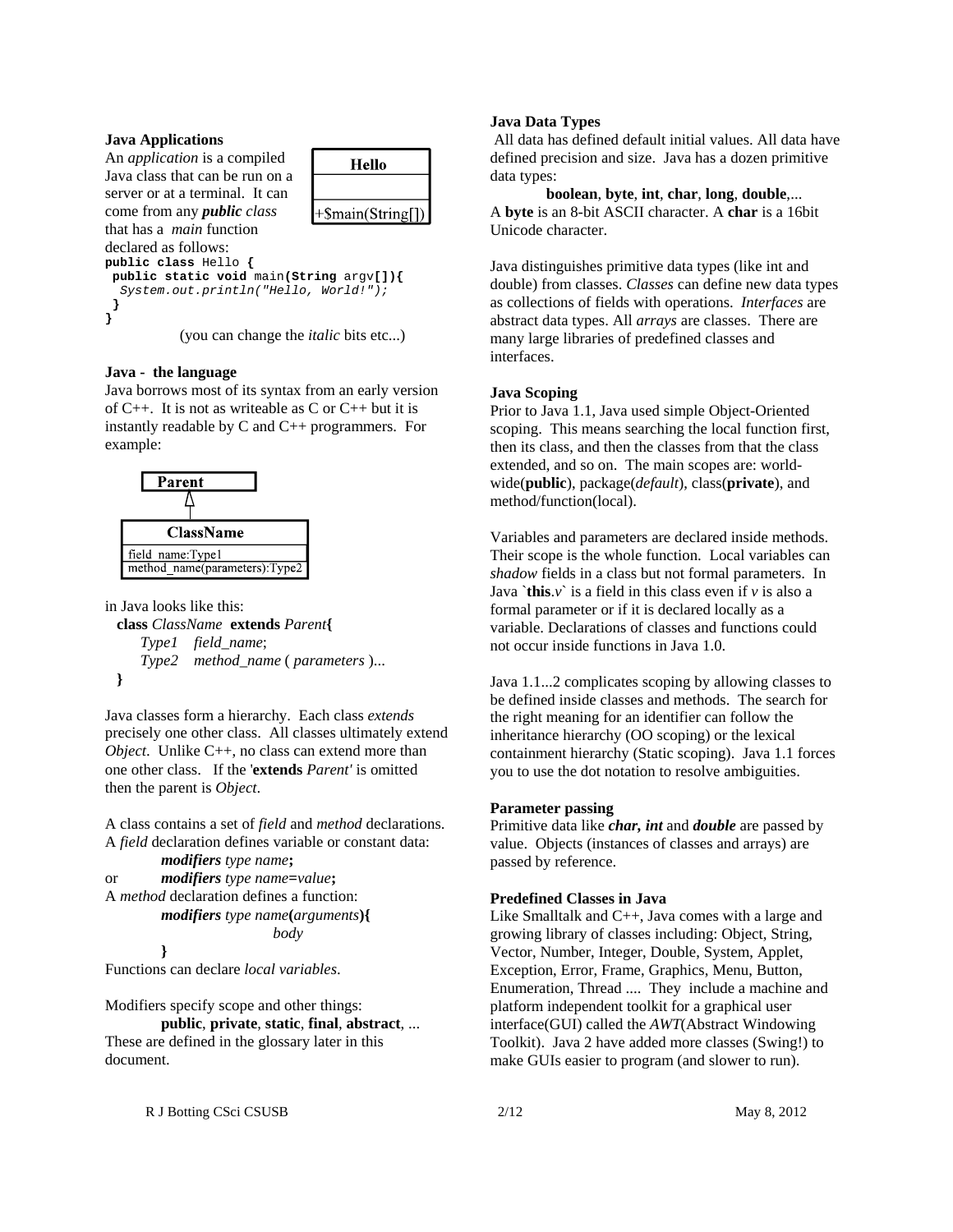### **Java Applications**

An *application* is a compiled Java class that can be run on a server or at a terminal. It can come from any *public class* that has a *main* function declared as follows:



**public class** Hello **{**

**public static void** main**(String** argv**[]){** *System.out.println("Hello, World!");*  **} }**

(you can change the *italic* bits etc...)

### **Java - the language**

Java borrows most of its syntax from an early version of C++. It is not as writeable as C or C++ but it is instantly readable by C and C++ programmers. For example:



#### in Java looks like this:

 **class** *ClassName* **extends** *Parent***{** *Type1 field\_name*; *Type2 method\_name* ( *parameters* )...  **}**

Java classes form a hierarchy. Each class *extends* precisely one other class. All classes ultimately extend *Object*. Unlike C++, no class can extend more than one other class. If the '**extends** *Parent'* is omitted then the parent is *Object*.

A class contains a set of *field* and *method* declarations. A *field* declaration defines variable or constant data:

```
modifiers type name;
or modifiers type name=value;
A method declaration defines a function:
       modifiers type name(arguments){
                        body
```
Functions can declare *local variables*.

**}**

Modifiers specify scope and other things:

**public**, **private**, **static**, **final**, **abstract**, ... These are defined in the glossary later in this document.

#### **Java Data Types**

 All data has defined default initial values. All data have defined precision and size. Java has a dozen primitive data types:

**boolean**, **byte**, **int**, **char**, **long**, **double**,... A **byte** is an 8-bit ASCII character. A **char** is a 16bit Unicode character.

Java distinguishes primitive data types (like int and double) from classes. *Classes* can define new data types as collections of fields with operations. *Interfaces* are abstract data types. All *arrays* are classes. There are many large libraries of predefined classes and interfaces.

### **Java Scoping**

Prior to Java 1.1, Java used simple Object-Oriented scoping. This means searching the local function first, then its class, and then the classes from that the class extended, and so on. The main scopes are: worldwide(**public**), package(*default*), class(**private**), and method/function(local).

Variables and parameters are declared inside methods. Their scope is the whole function. Local variables can *shadow* fields in a class but not formal parameters. In Java  $\hat{\tau}$  this  $\hat{v}$  is a field in this class even if  $\hat{v}$  is also a formal parameter or if it is declared locally as a variable. Declarations of classes and functions could not occur inside functions in Java 1.0.

Java 1.1...2 complicates scoping by allowing classes to be defined inside classes and methods. The search for the right meaning for an identifier can follow the inheritance hierarchy (OO scoping) or the lexical containment hierarchy (Static scoping). Java 1.1 forces you to use the dot notation to resolve ambiguities.

### **Parameter passing**

Primitive data like *char, int* and *double* are passed by value. Objects (instances of classes and arrays) are passed by reference.

## **Predefined Classes in Java**

Like Smalltalk and C++, Java comes with a large and growing library of classes including: Object, String, Vector, Number, Integer, Double, System, Applet, Exception, Error, Frame, Graphics, Menu, Button, Enumeration, Thread .... They include a machine and platform independent toolkit for a graphical user interface(GUI) called the *AWT*(Abstract Windowing Toolkit). Java 2 have added more classes (Swing!) to make GUIs easier to program (and slower to run).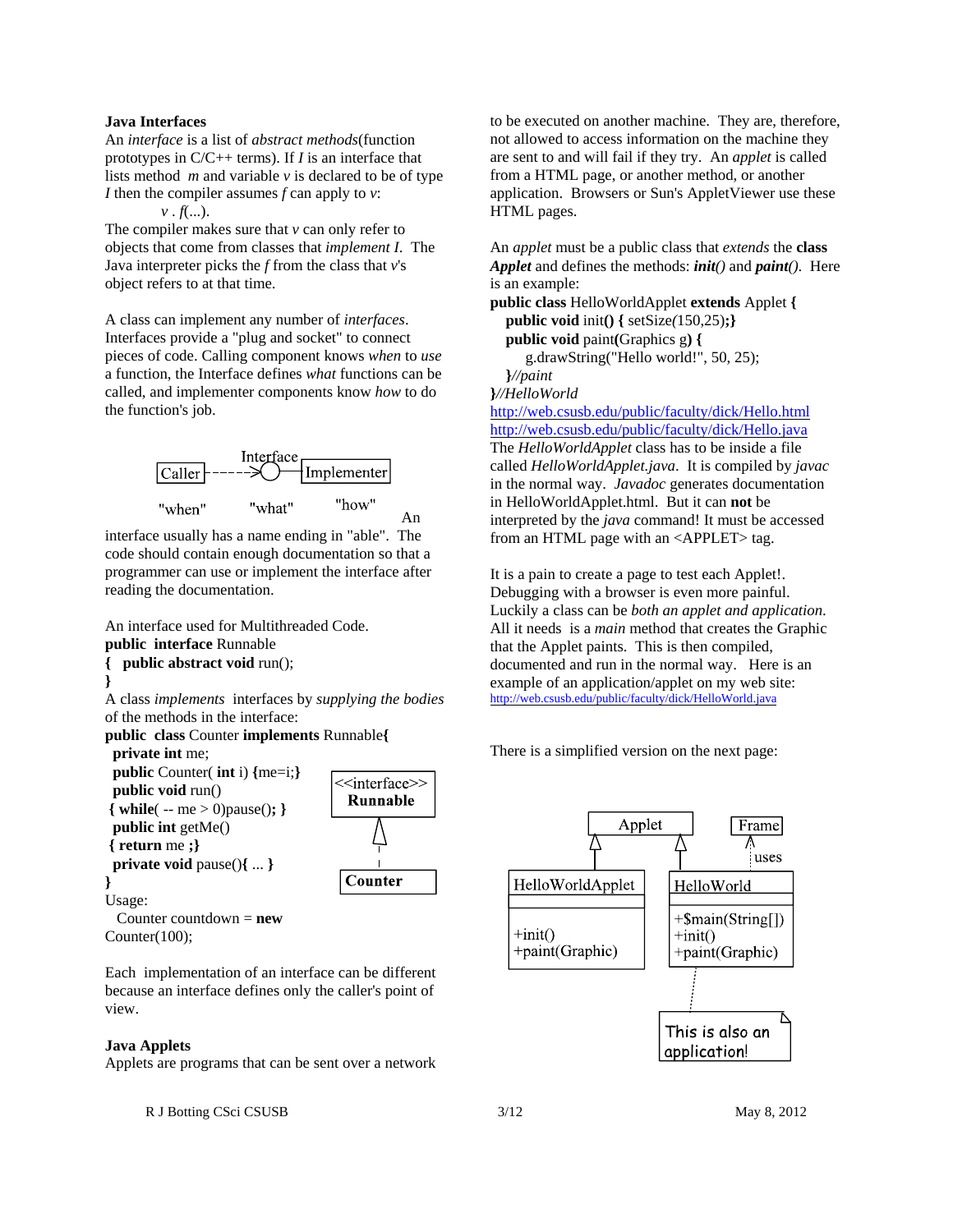#### **Java Interfaces**

An *interface* is a list of *abstract methods*(function prototypes in C/C++ terms). If *I* is an interface that lists method *m* and variable *v* is declared to be of type *I* then the compiler assumes *f* can apply to *v*:

*v* . *f*(...).

The compiler makes sure that *v* can only refer to objects that come from classes that *implement I*. The Java interpreter picks the *f* from the class that *v*'s object refers to at that time.

A class can implement any number of *interfaces*. Interfaces provide a "plug and socket" to connect pieces of code. Calling component knows *when* to *use* a function, the Interface defines *what* functions can be called, and implementer components know *how* to do the function's job.



interface usually has a name ending in "able". The code should contain enough documentation so that a programmer can use or implement the interface after reading the documentation.

An interface used for Multithreaded Code. **public interface** Runnable **{ public abstract void** run(); **}** A class *implements* interfaces by *supplying the bodies* of the methods in the interface: **public class** Counter **implements** Runnable**{ private int** me;



Counter(100);

Each implementation of an interface can be different because an interface defines only the caller's point of view.

### **Java Applets**

Applets are programs that can be sent over a network

R J Botting CSci CSUSB 3/12 May 8, 2012

to be executed on another machine. They are, therefore, not allowed to access information on the machine they are sent to and will fail if they try. An *applet* is called from a HTML page, or another method, or another application. Browsers or Sun's AppletViewer use these HTML pages.

An *applet* must be a public class that *extends* the **class** *Applet* and defines the methods: *init()* and *paint()*. Here is an example:

**public class** HelloWorldApplet **extends** Applet **{ public void** init**() {** setSize*(*150,25)**;} public void** paint**(**Graphics g**) {** g.drawString("Hello world!", 50, 25); **}***//paint*

**}***//HelloWorld*

http://web.csusb.edu/public/faculty/dick/Hello.html http://web.csusb.edu/public/faculty/dick/Hello.java The *HelloWorldApplet* class has to be inside a file called *HelloWorldApplet.java*. It is compiled by *javac* in the normal way. *Javadoc* generates documentation in HelloWorldApplet.html. But it can **not** be interpreted by the *java* command! It must be accessed from an HTML page with an <APPLET> tag.

It is a pain to create a page to test each Applet!. Debugging with a browser is even more painful. Luckily a class can be *both an applet and application*. All it needs is a *main* method that creates the Graphic that the Applet paints. This is then compiled, documented and run in the normal way. Here is an example of an application/applet on my web site: http://web.csusb.edu/public/faculty/dick/HelloWorld.java

There is a simplified version on the next page:

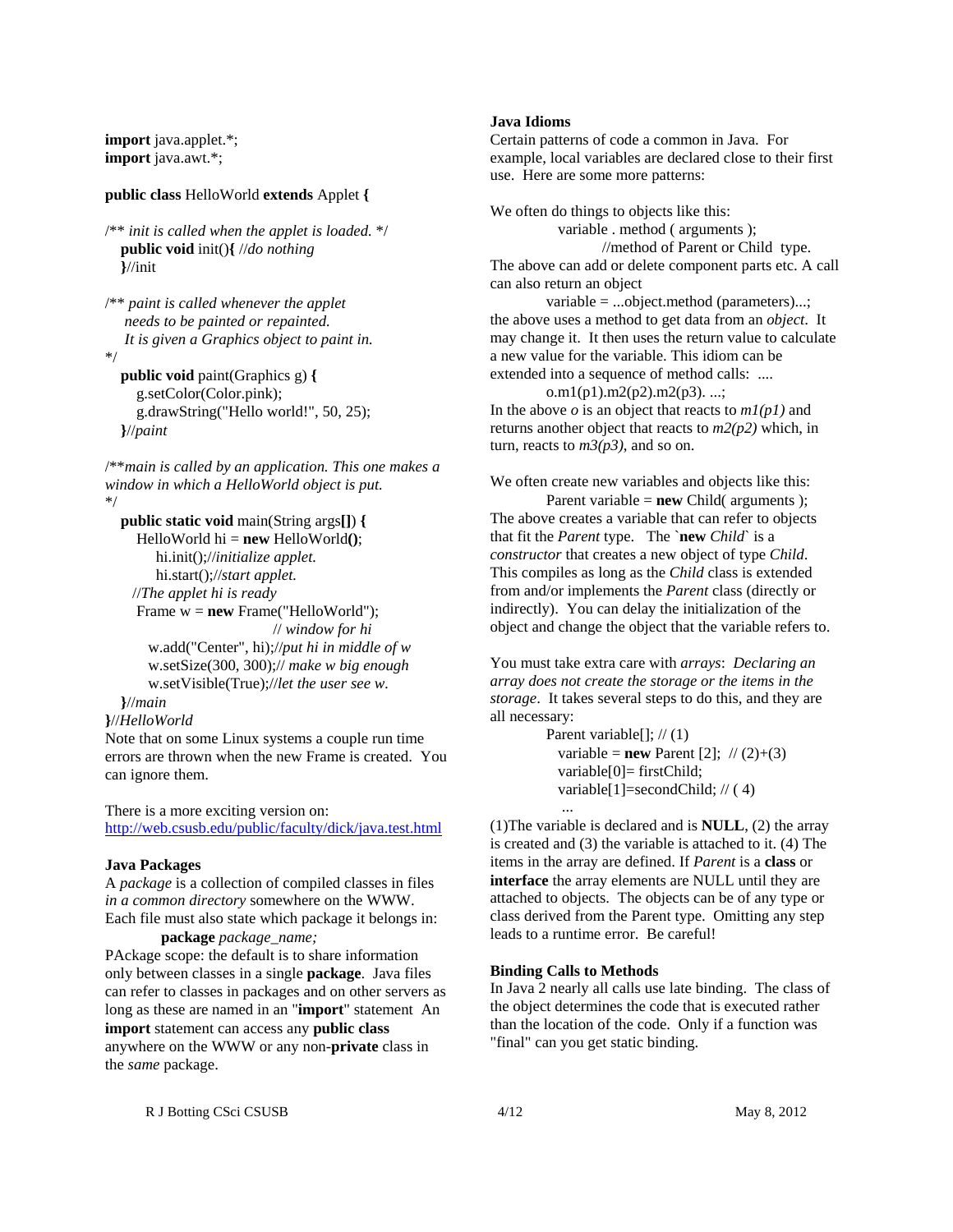**import** java.applet.\*; **import** java.awt.\*;

#### **public class** HelloWorld **extends** Applet **{**

```
/** init is called when the applet is loaded. */
   public void init(){ //do nothing
   }//init
```

```
/** paint is called whenever the applet 
    needs to be painted or repainted.
    It is given a Graphics object to paint in.
*/
   public void paint(Graphics g) {
      g.setColor(Color.pink);
      g.drawString("Hello world!", 50, 25);
```
**}**//*paint*

/\*\**main is called by an application. This one makes a window in which a HelloWorld object is put.* \*/

 **public static void** main(String args**[]**) **{** HelloWorld hi = **new** HelloWorld**()**; hi.init();//*initialize applet.* hi.start();//*start applet.* //*The applet hi is ready* Frame w = **new** Frame("HelloWorld"); // *window for hi* w.add("Center", hi);//*put hi in middle of w* w.setSize(300, 300);// *make w big enough* w.setVisible(True);//*let the user see w.*

# **}**//*main*

```
}//HelloWorld
```
Note that on some Linux systems a couple run time errors are thrown when the new Frame is created. You can ignore them.

There is a more exciting version on: http://web.csusb.edu/public/faculty/dick/java.test.html

#### **Java Packages**

A *package* is a collection of compiled classes in files *in a common directory* somewhere on the WWW. Each file must also state which package it belongs in: **package** *package\_name;*

PAckage scope: the default is to share information only between classes in a single **package**. Java files can refer to classes in packages and on other servers as long as these are named in an "**import**" statement An **import** statement can access any **public class** anywhere on the WWW or any non-**private** class in the *same* package.

#### **Java Idioms**

Certain patterns of code a common in Java. For example, local variables are declared close to their first use. Here are some more patterns:

We often do things to objects like this: variable . method ( arguments ); //method of Parent or Child type. The above can add or delete component parts etc. A call can also return an object

variable = ...object.method (parameters)...; the above uses a method to get data from an *object*. It may change it. It then uses the return value to calculate a new value for the variable. This idiom can be extended into a sequence of method calls: ....

o.m1(p1).m2(p2).m2(p3). ...; In the above *o* is an object that reacts to *m1(p1)* and returns another object that reacts to *m2(p2)* which, in turn, reacts to  $m3(p3)$ , and so on.

We often create new variables and objects like this:

Parent variable = **new** Child( arguments ); The above creates a variable that can refer to objects that fit the *Parent* type. The `**new** *Child*` is a *constructor* that creates a new object of type *Child*. This compiles as long as the *Child* class is extended from and/or implements the *Parent* class (directly or indirectly). You can delay the initialization of the object and change the object that the variable refers to.

You must take extra care with *arrays*: *Declaring an array does not create the storage or the items in the storage*. It takes several steps to do this, and they are all necessary:

> Parent variable $[$ ];  $// (1)$ variable = **new** Parent [2];  $\pi/(2)+(3)$  variable[0]= firstChild; variable[1]=secondChild; // ( 4) ...

(1)The variable is declared and is **NULL**, (2) the array is created and (3) the variable is attached to it. (4) The items in the array are defined. If *Parent* is a **class** or **interface** the array elements are NULL until they are attached to objects. The objects can be of any type or class derived from the Parent type. Omitting any step leads to a runtime error. Be careful!

### **Binding Calls to Methods**

In Java 2 nearly all calls use late binding. The class of the object determines the code that is executed rather than the location of the code. Only if a function was "final" can you get static binding.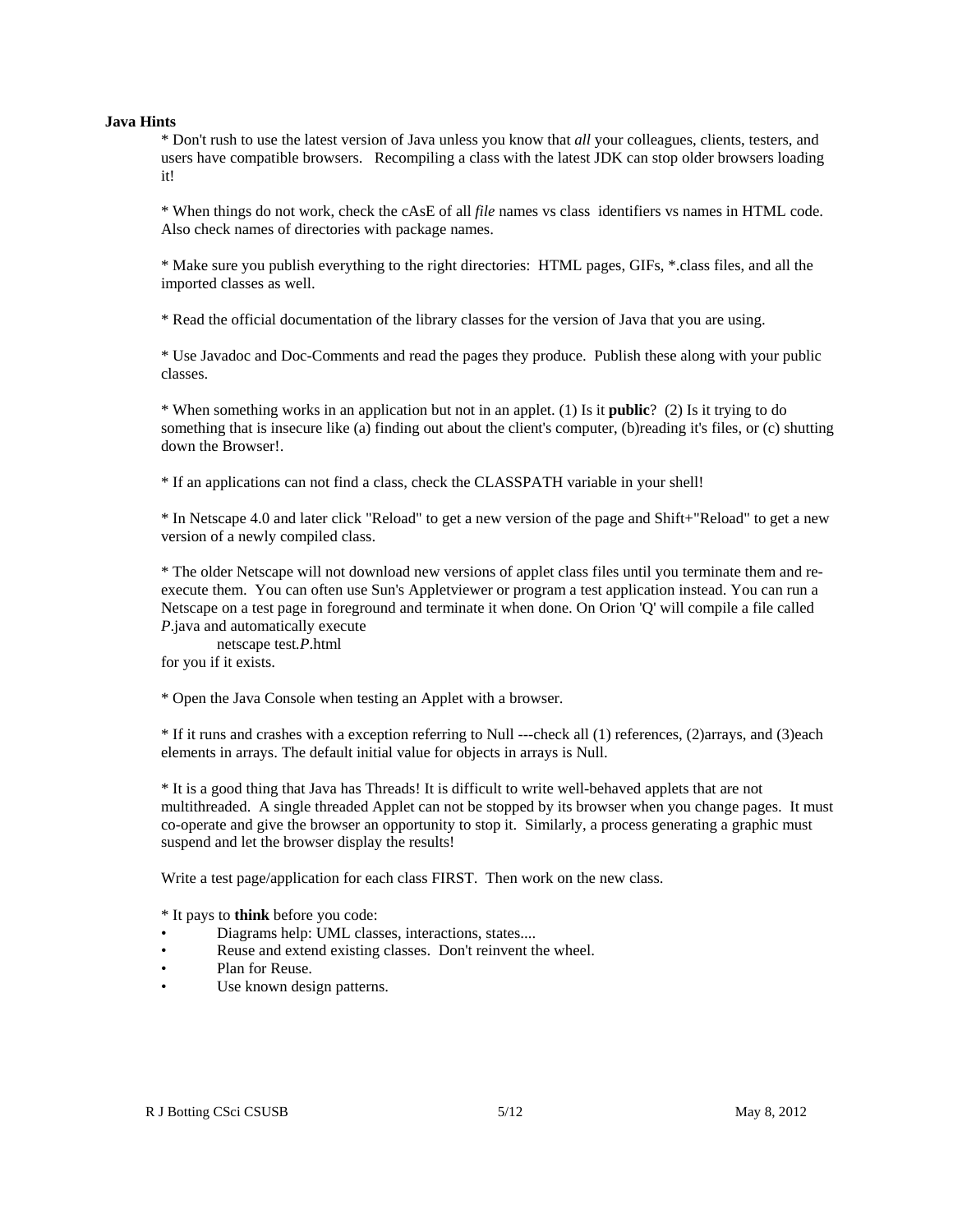#### **Java Hints**

\* Don't rush to use the latest version of Java unless you know that *all* your colleagues, clients, testers, and users have compatible browsers. Recompiling a class with the latest JDK can stop older browsers loading it!

\* When things do not work, check the cAsE of all *file* names vs class identifiers vs names in HTML code. Also check names of directories with package names.

\* Make sure you publish everything to the right directories: HTML pages, GIFs, \*.class files, and all the imported classes as well.

\* Read the official documentation of the library classes for the version of Java that you are using.

\* Use Javadoc and Doc-Comments and read the pages they produce. Publish these along with your public classes.

\* When something works in an application but not in an applet. (1) Is it **public**? (2) Is it trying to do something that is insecure like (a) finding out about the client's computer, (b)reading it's files, or (c) shutting down the Browser!.

\* If an applications can not find a class, check the CLASSPATH variable in your shell!

\* In Netscape 4.0 and later click "Reload" to get a new version of the page and Shift+"Reload" to get a new version of a newly compiled class.

\* The older Netscape will not download new versions of applet class files until you terminate them and reexecute them. You can often use Sun's Appletviewer or program a test application instead. You can run a Netscape on a test page in foreground and terminate it when done. On Orion 'Q' will compile a file called *P*.java and automatically execute

netscape test*.P*.html for you if it exists.

\* Open the Java Console when testing an Applet with a browser.

\* If it runs and crashes with a exception referring to Null ---check all (1) references, (2)arrays, and (3)each elements in arrays. The default initial value for objects in arrays is Null.

\* It is a good thing that Java has Threads! It is difficult to write well-behaved applets that are not multithreaded. A single threaded Applet can not be stopped by its browser when you change pages. It must co-operate and give the browser an opportunity to stop it. Similarly, a process generating a graphic must suspend and let the browser display the results!

Write a test page/application for each class FIRST. Then work on the new class.

\* It pays to **think** before you code:

- Diagrams help: UML classes, interactions, states....
- Reuse and extend existing classes. Don't reinvent the wheel.
- Plan for Reuse.
- Use known design patterns.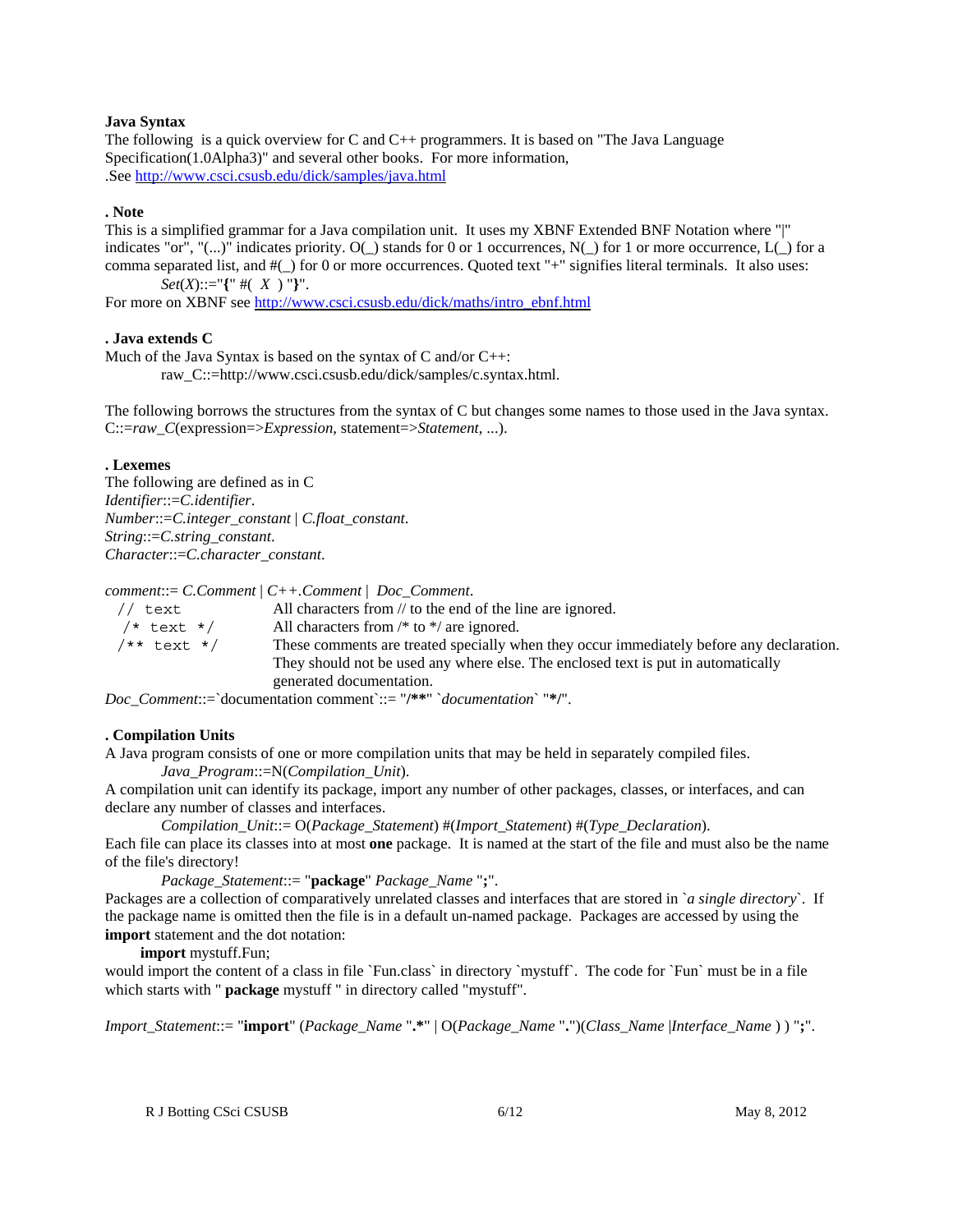### **Java Syntax**

The following is a quick overview for C and  $C_{++}$  programmers. It is based on "The Java Language" Specification(1.0Alpha3)" and several other books. For more information, .See http://www.csci.csusb.edu/dick/samples/java.html

## **. Note**

This is a simplified grammar for a Java compilation unit. It uses my XBNF Extended BNF Notation where "|" indicates "or", "(...)" indicates priority.  $O(\_)$  stands for 0 or 1 occurrences,  $N(\_)$  for 1 or more occurrence,  $L(\_)$  for a comma separated list, and #(\_) for 0 or more occurrences. Quoted text "+" signifies literal terminals. It also uses: *Set*(*X*)::="**{**" #( *X* ) "**}**".

For more on XBNF see http://www.csci.csusb.edu/dick/maths/intro\_ebnf.html

## **. Java extends C**

Much of the Java Syntax is based on the syntax of  $C$  and/or  $C_{++}$ : raw\_C::=http://www.csci.csusb.edu/dick/samples/c.syntax.html.

The following borrows the structures from the syntax of C but changes some names to those used in the Java syntax. C::=*raw\_C*(expression=>*Expression*, statement=>*Statement*, ...).

## **. Lexemes**

The following are defined as in C *Identifier*::=*C.identifier*. *Number*::=*C.integer\_constant* | *C.float\_constant*. *String*::=*C.string\_constant*. *Character*::=*C.character\_constant*.

*comment*::= *C.Comment* | *C++.Comment* | *Doc\_Comment*.

| // text        | All characters from // to the end of the line are ignored.                               |
|----------------|------------------------------------------------------------------------------------------|
| $/*$ text $*/$ | All characters from $/*$ to $*/$ are ignored.                                            |
| /** text */    | These comments are treated specially when they occur immediately before any declaration. |
|                | They should not be used any where else. The enclosed text is put in automatically        |
|                | generated documentation.                                                                 |

*Doc\_Comment*::=`documentation comment`::= "**/\*\***" `*documentation*` "**\*/**".

### **. Compilation Units**

A Java program consists of one or more compilation units that may be held in separately compiled files. *Java\_Program*::=N(*Compilation\_Unit*).

A compilation unit can identify its package, import any number of other packages, classes, or interfaces, and can declare any number of classes and interfaces.

*Compilation\_Unit*::= O(*Package\_Statement*) #(*Import\_Statement*) #(*Type\_Declaration*).

Each file can place its classes into at most **one** package. It is named at the start of the file and must also be the name of the file's directory!

*Package\_Statement*::= "**package**" *Package\_Name* "**;**".

Packages are a collection of comparatively unrelated classes and interfaces that are stored in `*a single directory*`. If the package name is omitted then the file is in a default un-named package. Packages are accessed by using the **import** statement and the dot notation:

**import** mystuff.Fun;

would import the content of a class in file `Fun.class` in directory `mystuff`. The code for `Fun` must be in a file which starts with " **package** mystuff " in directory called "mystuff".

*Import\_Statement*::= "**import**" (*Package\_Name* "**.\***" | O(*Package\_Name* "**.**")(*Class\_Name* |*Interface\_Name* ) ) "**;**".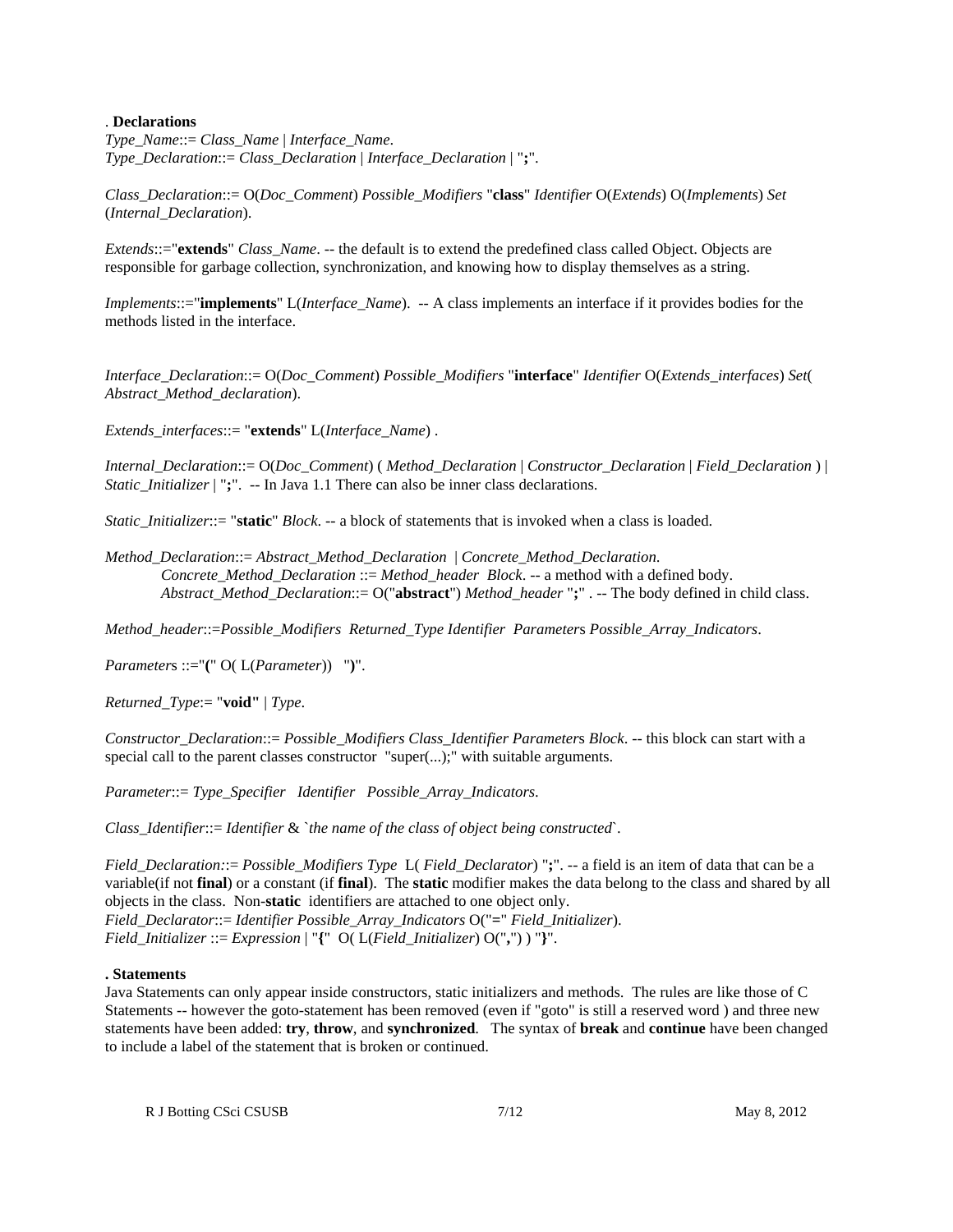### . **Declarations**

*Type\_Name*::= *Class\_Name* | *Interface\_Name*. *Type\_Declaration*::= *Class\_Declaration* | *Interface\_Declaration* | "**;**".

*Class\_Declaration*::= O(*Doc\_Comment*) *Possible\_Modifiers* "**class**" *Identifier* O(*Extends*) O(*Implements*) *Set* (*Internal\_Declaration*).

*Extends*::="**extends**" *Class\_Name*. -- the default is to extend the predefined class called Object. Objects are responsible for garbage collection, synchronization, and knowing how to display themselves as a string.

*Implements*::="**implements**" L(*Interface\_Name*). -- A class implements an interface if it provides bodies for the methods listed in the interface.

*Interface\_Declaration*::= O(*Doc\_Comment*) *Possible\_Modifiers* "**interface**" *Identifier* O(*Extends\_interfaces*) *Set*( *Abstract\_Method\_declaration*).

*Extends\_interfaces*::= "**extends**" L(*Interface\_Name*) .

*Internal\_Declaration*::= O(*Doc\_Comment*) ( *Method\_Declaration* | *Constructor\_Declaration* | *Field\_Declaration* ) | *Static Initializer* | ";". -- In Java 1.1 There can also be inner class declarations.

*Static\_Initializer*::= "**static**" *Block*. -- a block of statements that is invoked when a class is loaded.

*Method\_Declaration*::= *Abstract\_Method\_Declaration* | *Concrete\_Method\_Declaration*. *Concrete\_Method\_Declaration* ::= *Method\_header Block*. -- a method with a defined body. *Abstract\_Method\_Declaration*::= O("**abstract**") *Method\_header* "**;**" . -- The body defined in child class.

*Method\_header*::=*Possible\_Modifiers Returned\_Type Identifier Parameter*s *Possible\_Array\_Indicators*.

*Parameter*s ::="**(**" O( L(*Parameter*)) "**)**".

*Returned\_Type*:= "**void"** | *Type*.

*Constructor\_Declaration*::= *Possible\_Modifiers Class\_Identifier Parameter*s *Block*. -- this block can start with a special call to the parent classes constructor "super(...);" with suitable arguments.

*Parameter*::= *Type\_Specifier Identifier Possible\_Array\_Indicators*.

*Class\_Identifier*::= *Identifier* & `*the name of the class of object being constructed*`.

*Field\_Declaration:*:= *Possible\_Modifiers Type* L( *Field\_Declarator*) "**;**". -- a field is an item of data that can be a variable(if not **final**) or a constant (if **final**). The **static** modifier makes the data belong to the class and shared by all objects in the class. Non-**static** identifiers are attached to one object only. *Field\_Declarator*::= *Identifier Possible\_Array\_Indicators* O("**=**" *Field\_Initializer*). *Field\_Initializer* ::= *Expression* | "**{**" O( L(*Field\_Initializer*) O("**,**") ) "**}**".

### **. Statements**

Java Statements can only appear inside constructors, static initializers and methods. The rules are like those of C Statements -- however the goto-statement has been removed (even if "goto" is still a reserved word ) and three new statements have been added: **try**, **throw**, and **synchronized**. The syntax of **break** and **continue** have been changed to include a label of the statement that is broken or continued.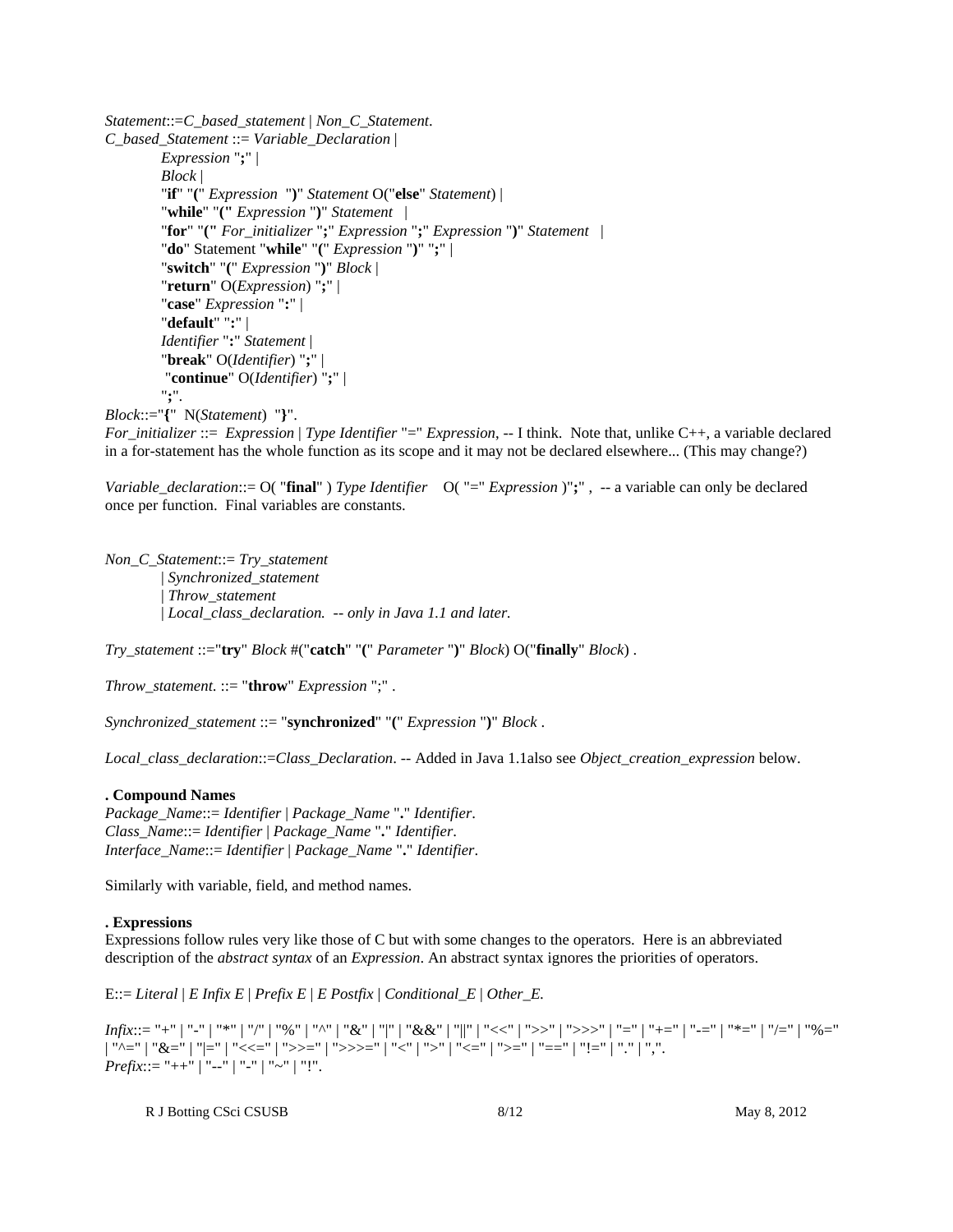```
Statement::=C_based_statement | Non_C_Statement.
C_based_Statement ::= Variable_Declaration | 
         Expression ";" | 
         Block | 
         "if" "(" Expression ")" Statement O("else" Statement) | 
         "while" "(" Expression ")" Statement | 
        "for" "(" For_initializer ";" Expression ";" Expression ")" Statement | 
         "do" Statement "while" "(" Expression ")" ";" | 
         "switch" "(" Expression ")" Block | 
         "return" O(Expression) ";" | 
         "case" Expression ":" | 
         "default" ":" | 
         Identifier ":" Statement | 
         "break" O(Identifier) ";" |
          "continue" O(Identifier) ";" | 
         ";".
```
*Block*::="**{**" N(*Statement*) "**}**".

*For\_initializer* ::= *Expression* | *Type Identifier* "=" *Expression*, -- I think. Note that, unlike C++, a variable declared in a for-statement has the whole function as its scope and it may not be declared elsewhere... (This may change?)

*Variable\_declaration*::= O( "**final**" ) *Type Identifier* O( "=" *Expression* )"**;**" , -- a variable can only be declared once per function. Final variables are constants.

*Non\_C\_Statement*::= *Try\_statement*  | *Synchronized\_statement* | *Throw\_statement* | *Local\_class\_declaration. -- only in Java 1.1 and later.*

*Try\_statement* ::="**try**" *Block* #("**catch**" "**(**" *Parameter* "**)**" *Block*) O("**finally**" *Block*) .

*Throw\_statement*. ::= "**throw**" *Expression* ";" .

*Synchronized\_statement* ::= "**synchronized**" "**(**" *Expression* "**)**" *Block* .

*Local\_class\_declaration*::=*Class\_Declaration*. -- Added in Java 1.1also see *Object\_creation\_expression* below.

### **. Compound Names**

*Package\_Name*::= *Identifier* | *Package\_Name* "**.**" *Identifier*. *Class\_Name*::= *Identifier* | *Package\_Name* "**.**" *Identifier*. *Interface\_Name*::= *Identifier* | *Package\_Name* "**.**" *Identifier*.

Similarly with variable, field, and method names.

### **. Expressions**

Expressions follow rules very like those of C but with some changes to the operators. Here is an abbreviated description of the *abstract syntax* of an *Expression*. An abstract syntax ignores the priorities of operators.

E::= *Literal* | *E Infix E* | *Prefix E* | *E Postfix* | *Conditional\_E* | *Other\_E.*

*Infix*::= "+" | "-" | "\*" | "/" | "%" | "^" | "&" | "|" | "&&" | "||" | "<<" | ">>" | ">>>" | "=" | "+=" | "-=" | "\*=" | "/=" | "%=" | "^=" | "&=" | "|=" | "<<=" | ">>=" | ">>>=" | "<'' | ">'" | "<=" | "'==" | "!=" | "." | ",". *Prefix*::= "++" | "--" | "-" | "~" | "!".

R J Botting CSci CSUSB 8/12 May 8, 2012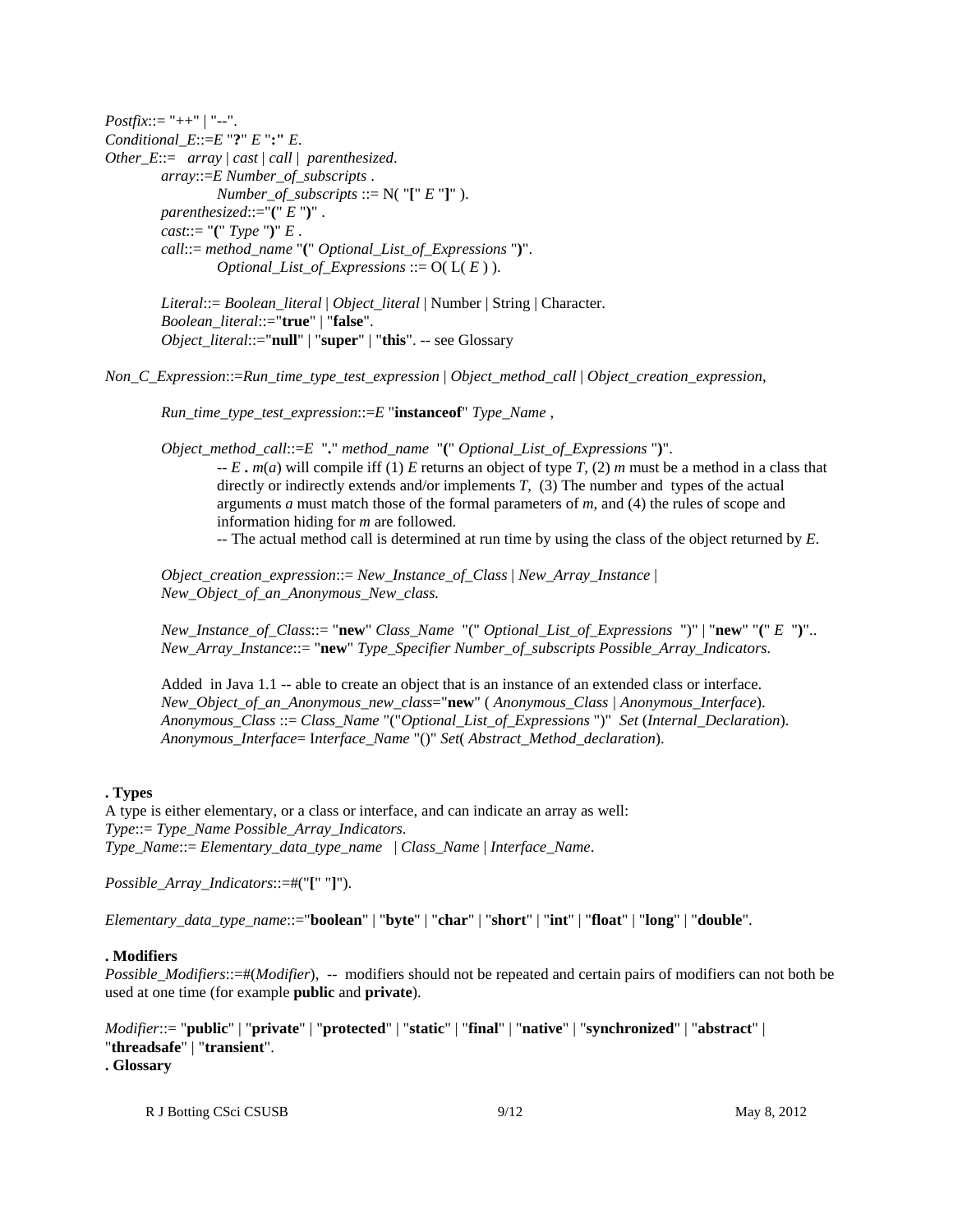*Postfix*::= "++" | "--". *Conditional\_E*::=*E* "**?**" *E* "**:"** *E*. *Other\_E*::= *array* | *cast* | *call* | *parenthesized*. *array*::=*E Number\_of\_subscripts* . *Number\_of\_subscripts* ::=  $N("["E"]")$ . *parenthesized*::="**(**" *E* "**)**" . *cast*::= "**(**" *Type* "**)**" *E* . *call*::= *method\_name* "**(**" *Optional\_List\_of\_Expressions* "**)**". *Optional\_List\_of\_Expressions* ::=  $O(L(E))$ .

> *Literal*::= *Boolean\_literal* | *Object\_literal* | Number | String | Character. *Boolean\_literal*::="**true**" | "**false**". *Object\_literal*::="**null**" | "**super**" | "**this**". -- see Glossary

*Non\_C\_Expression*::=*Run\_time\_type\_test\_expression* | *Object\_method\_call* | *Object\_creation\_expression*,

*Run\_time\_type\_test\_expression*::=*E* "**instanceof**" *Type\_Name* ,

*Object\_method\_call*::=*E* "**.**" *method\_name* "**(**" *Optional\_List\_of\_Expressions* "**)**".

 $-E$ ,  $m(a)$  will compile iff (1) *E* returns an object of type *T*, (2) *m* must be a method in a class that directly or indirectly extends and/or implements *T*, (3) The number and types of the actual arguments *a* must match those of the formal parameters of *m*, and (4) the rules of scope and information hiding for *m* are followed.

-- The actual method call is determined at run time by using the class of the object returned by *E*.

*Object\_creation\_expression*::= *New\_Instance\_of\_Class* | *New\_Array\_Instance* | *New\_Object\_of\_an\_Anonymous\_New\_class.*

*New\_Instance\_of\_Class*::= "**new**" *Class\_Name* "(" *Optional\_List\_of\_Expressions* ")" | "**new**" "**(**" *E* "**)**".. *New\_Array\_Instance*::= "**new**" *Type\_Specifier Number\_of\_subscripts Possible\_Array\_Indicators.*

Added in Java 1.1 -- able to create an object that is an instance of an extended class or interface. *New\_Object\_of\_an\_Anonymous\_new\_class*="**new**" ( *Anonymous\_Class | Anonymous\_Interface*). *Anonymous\_Class* ::= *Class\_Name* "("*Optional\_List\_of\_Expressions* ")" *Set* (*Internal\_Declaration*). *Anonymous\_Interface*= I*nterface\_Name* "()" *Set*( *Abstract\_Method\_declaration*).

### **. Types**

A type is either elementary, or a class or interface, and can indicate an array as well: *Type*::= *Type\_Name Possible\_Array\_Indicators*. *Type\_Name*::= *Elementary\_data\_type\_name* | *Class\_Name* | *Interface\_Name*.

*Possible\_Array\_Indicators*::=#("**[**" "**]**").

*Elementary\_data\_type\_name*::="**boolean**" | "**byte**" | "**char**" | "**short**" | "**int**" | "**float**" | "**long**" | "**double**".

#### **. Modifiers**

*Possible Modifiers*::=#(*Modifier*), -- modifiers should not be repeated and certain pairs of modifiers can not both be used at one time (for example **public** and **private**).

*Modifier*::= "**public**" | "**private**" | "**protected**" | "**static**" | "**final**" | "**native**" | "**synchronized**" | "**abstract**" | "**threadsafe**" | "**transient**".

**. Glossary**

R J Botting CSci CSUSB 9/12 May 8, 2012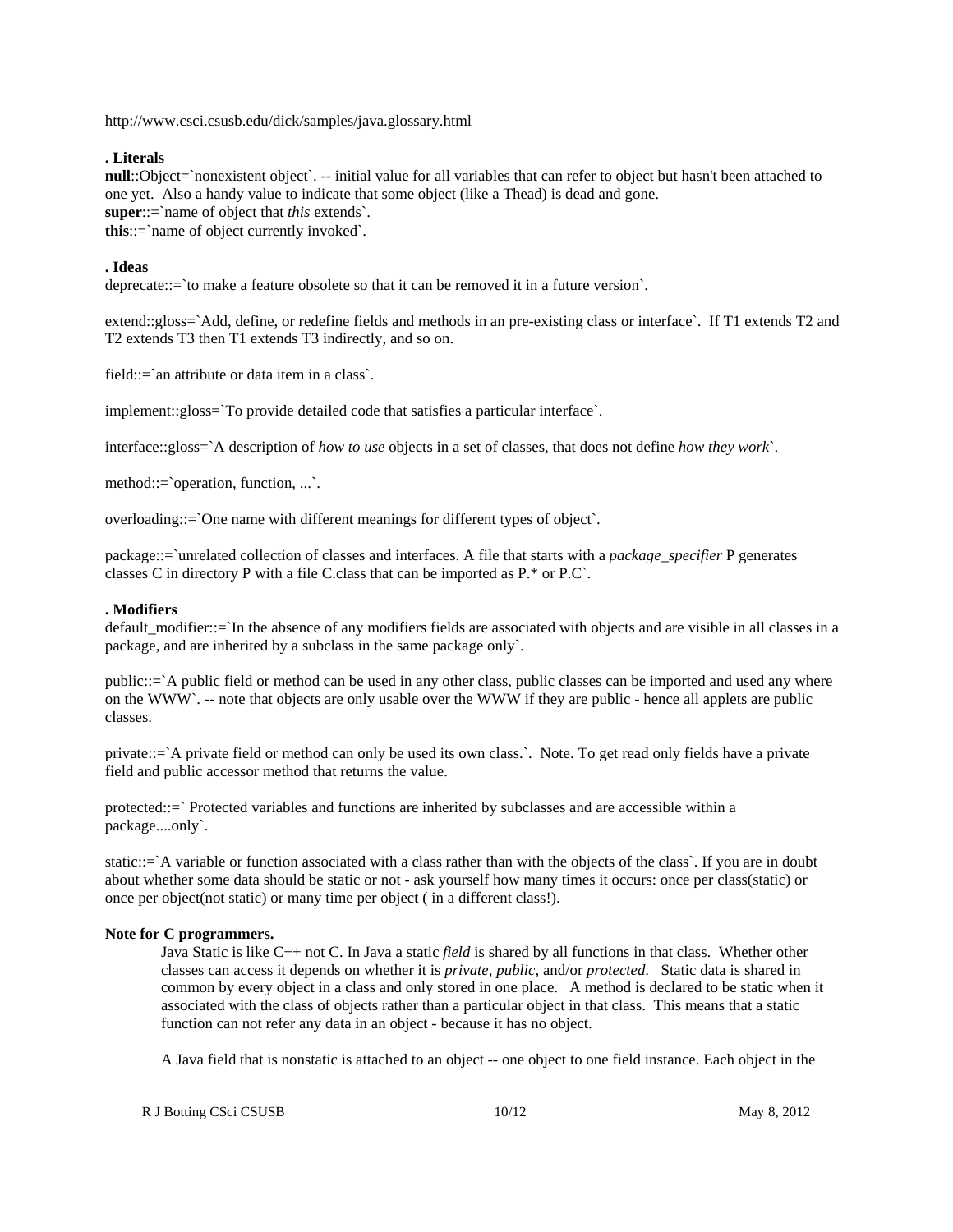http://www.csci.csusb.edu/dick/samples/java.glossary.html

## **. Literals**

**null**::Object=`nonexistent object`. -- initial value for all variables that can refer to object but hasn't been attached to one yet. Also a handy value to indicate that some object (like a Thead) is dead and gone. **super**::=`name of object that *this* extends`. **this**::=`name of object currently invoked`.

## **. Ideas**

deprecate::=`to make a feature obsolete so that it can be removed it in a future version`.

extend::gloss=`Add, define, or redefine fields and methods in an pre-existing class or interface`. If T1 extends T2 and T2 extends T3 then T1 extends T3 indirectly, and so on.

field::=`an attribute or data item in a class`.

implement::gloss=`To provide detailed code that satisfies a particular interface`.

interface::gloss=`A description of *how to use* objects in a set of classes, that does not define *how they work*`.

method::=`operation, function, ...`.

overloading::=`One name with different meanings for different types of object`.

package::=`unrelated collection of classes and interfaces. A file that starts with a *package\_specifier* P generates classes C in directory P with a file C.class that can be imported as P.\* or P.C`.

## **. Modifiers**

default modifier::=`In the absence of any modifiers fields are associated with objects and are visible in all classes in a package, and are inherited by a subclass in the same package only`.

public::=`A public field or method can be used in any other class, public classes can be imported and used any where on the WWW`. -- note that objects are only usable over the WWW if they are public - hence all applets are public classes.

private::=`A private field or method can only be used its own class.`. Note. To get read only fields have a private field and public accessor method that returns the value.

protected::=` Protected variables and functions are inherited by subclasses and are accessible within a package....only`.

static::=`A variable or function associated with a class rather than with the objects of the class`. If you are in doubt about whether some data should be static or not - ask yourself how many times it occurs: once per class(static) or once per object(not static) or many time per object ( in a different class!).

## **Note for C programmers.**

Java Static is like C++ not C. In Java a static *field* is shared by all functions in that class. Whether other classes can access it depends on whether it is *private*, *public*, and/or *protected*. Static data is shared in common by every object in a class and only stored in one place. A method is declared to be static when it associated with the class of objects rather than a particular object in that class. This means that a static function can not refer any data in an object - because it has no object.

A Java field that is nonstatic is attached to an object -- one object to one field instance. Each object in the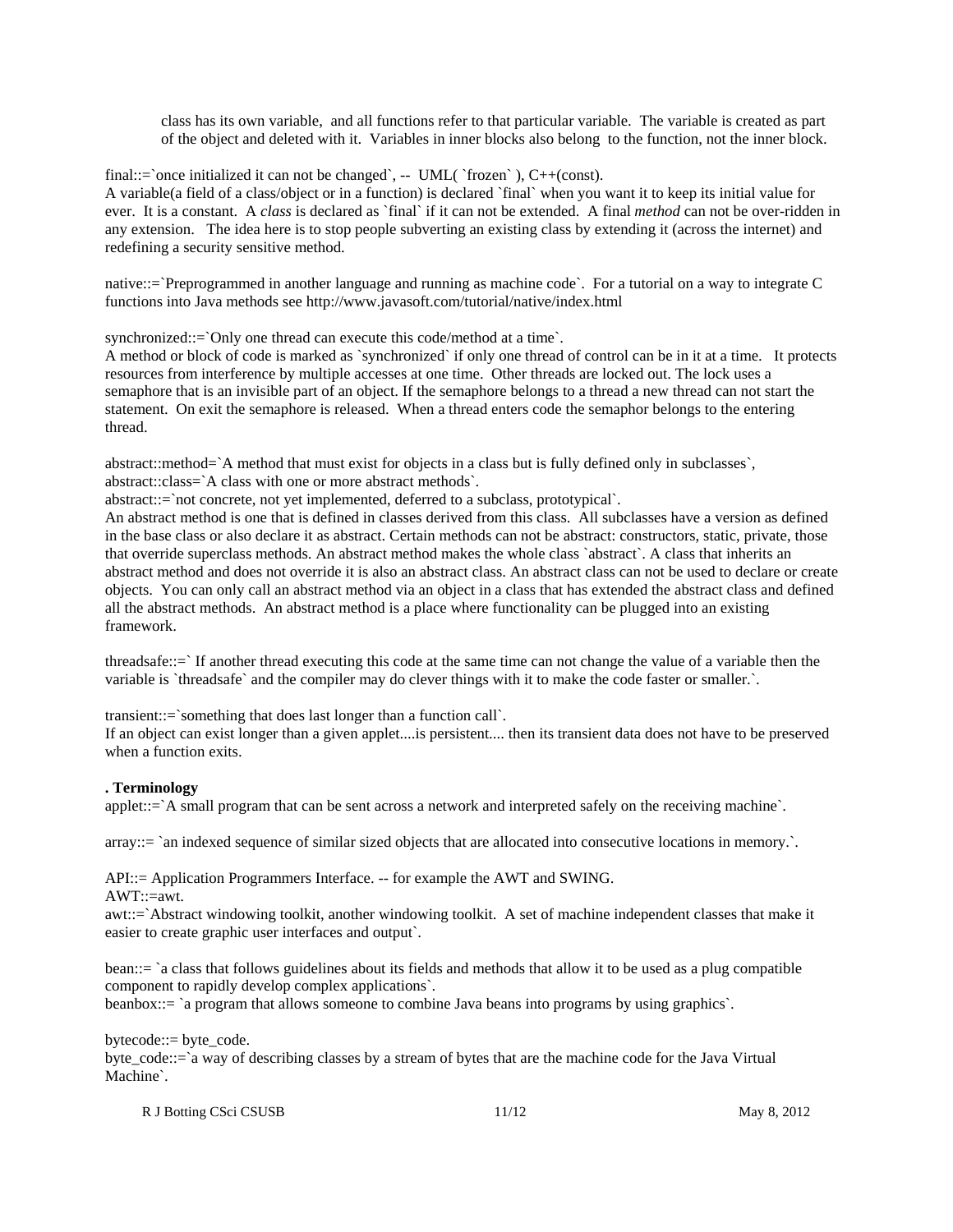class has its own variable, and all functions refer to that particular variable. The variable is created as part of the object and deleted with it. Variables in inner blocks also belong to the function, not the inner block.

final::=`once initialized it can not be changed`,  $-$  UML( `frozen` ), C++(const).

A variable(a field of a class/object or in a function) is declared `final` when you want it to keep its initial value for ever. It is a constant. A *class* is declared as `final` if it can not be extended. A final *method* can not be over-ridden in any extension. The idea here is to stop people subverting an existing class by extending it (across the internet) and redefining a security sensitive method.

native::=`Preprogrammed in another language and running as machine code`. For a tutorial on a way to integrate C functions into Java methods see http://www.javasoft.com/tutorial/native/index.html

synchronized::=`Only one thread can execute this code/method at a time`.

A method or block of code is marked as `synchronized` if only one thread of control can be in it at a time. It protects resources from interference by multiple accesses at one time. Other threads are locked out. The lock uses a semaphore that is an invisible part of an object. If the semaphore belongs to a thread a new thread can not start the statement. On exit the semaphore is released. When a thread enters code the semaphor belongs to the entering thread.

abstract::method=`A method that must exist for objects in a class but is fully defined only in subclasses`, abstract::class=`A class with one or more abstract methods`.

abstract::=`not concrete, not yet implemented, deferred to a subclass, prototypical`.

An abstract method is one that is defined in classes derived from this class. All subclasses have a version as defined in the base class or also declare it as abstract. Certain methods can not be abstract: constructors, static, private, those that override superclass methods. An abstract method makes the whole class `abstract`. A class that inherits an abstract method and does not override it is also an abstract class. An abstract class can not be used to declare or create objects. You can only call an abstract method via an object in a class that has extended the abstract class and defined all the abstract methods. An abstract method is a place where functionality can be plugged into an existing framework.

threadsafe::=` If another thread executing this code at the same time can not change the value of a variable then the variable is `threadsafe` and the compiler may do clever things with it to make the code faster or smaller.`.

transient::=`something that does last longer than a function call`.

If an object can exist longer than a given applet....is persistent.... then its transient data does not have to be preserved when a function exits.

### **. Terminology**

applet::=`A small program that can be sent across a network and interpreted safely on the receiving machine`.

array::= `an indexed sequence of similar sized objects that are allocated into consecutive locations in memory.`.

API::= Application Programmers Interface. -- for example the AWT and SWING.  $AWT::=awt$ .

awt::=`Abstract windowing toolkit, another windowing toolkit. A set of machine independent classes that make it easier to create graphic user interfaces and output`.

bean::= `a class that follows guidelines about its fields and methods that allow it to be used as a plug compatible component to rapidly develop complex applications`.

beanbox::= `a program that allows someone to combine Java beans into programs by using graphics`.

bytecode::= byte\_code.

byte\_code::=`a way of describing classes by a stream of bytes that are the machine code for the Java Virtual Machine`.